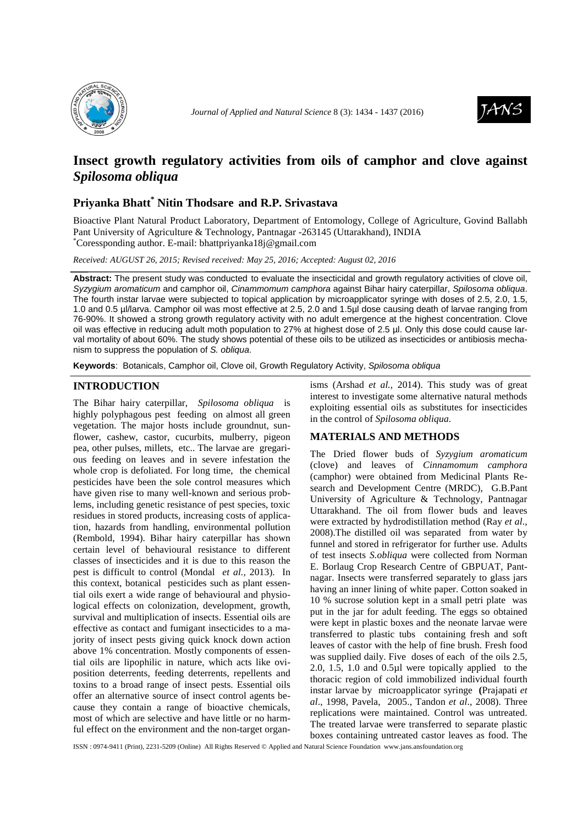



# **Insect growth regulatory activities from oils of camphor and clove against**  *Spilosoma obliqua*

## **Priyanka Bhatt\* Nitin Thodsare and R.P. Srivastava**

Bioactive Plant Natural Product Laboratory, Department of Entomology, College of Agriculture, Govind Ballabh Pant University of Agriculture & Technology, Pantnagar -263145 (Uttarakhand), INDIA \*Coressponding author. E-mail: bhattpriyanka18j@gmail.com

*Received: AUGUST 26, 2015; Revised received: May 25, 2016; Accepted: August 02, 2016*

**Abstract:** The present study was conducted to evaluate the insecticidal and growth regulatory activities of clove oil, Syzygium aromaticum and camphor oil, Cinammomum camphora against Bihar hairy caterpillar, Spilosoma obliqua. The fourth instar larvae were subjected to topical application by microapplicator syringe with doses of 2.5, 2.0, 1.5, 1.0 and 0.5 µl/larva. Camphor oil was most effective at 2.5, 2.0 and 1.5µl dose causing death of larvae ranging from 76-90%. It showed a strong growth regulatory activity with no adult emergence at the highest concentration. Clove oil was effective in reducing adult moth population to 27% at highest dose of 2.5 µl. Only this dose could cause larval mortality of about 60%. The study shows potential of these oils to be utilized as insecticides or antibiosis mechanism to suppress the population of S. obliqua.

**Keywords**: Botanicals, Camphor oil, Clove oil, Growth Regulatory Activity, Spilosoma obliqua

### **INTRODUCTION**

The Bihar hairy caterpillar, *Spilosoma obliqua* is highly polyphagous pest feeding on almost all green vegetation. The major hosts include groundnut, sunflower, cashew, castor, cucurbits, mulberry, pigeon pea, other pulses, millets, etc.. The larvae are gregarious feeding on leaves and in severe infestation the whole crop is defoliated. For long time, the chemical pesticides have been the sole control measures which have given rise to many well-known and serious problems, including genetic resistance of pest species, toxic residues in stored products, increasing costs of application, hazards from handling, environmental pollution (Rembold, 1994). Bihar hairy caterpillar has shown certain level of behavioural resistance to different classes of insecticides and it is due to this reason the pest is difficult to control (Mondal *et al.,* 2013). In this context, botanical pesticides such as plant essential oils exert a wide range of behavioural and physiological effects on colonization, development, growth, survival and multiplication of insects. Essential oils are effective as contact and fumigant insecticides to a majority of insect pests giving quick knock down action above 1% concentration. Mostly components of essential oils are lipophilic in nature, which acts like oviposition deterrents, feeding deterrents, repellents and toxins to a broad range of insect pests. Essential oils offer an alternative source of insect control agents because they contain a range of bioactive chemicals, most of which are selective and have little or no harmful effect on the environment and the non-target organ-

isms (Arshad *et al.,* 2014). This study was of great interest to investigate some alternative natural methods exploiting essential oils as substitutes for insecticides in the control of *Spilosoma obliqua*.

#### **MATERIALS AND METHODS**

The Dried flower buds of *Syzygium aromaticum* (clove) and leaves of *Cinnamomum camphora* (camphor) were obtained from Medicinal Plants Research and Development Centre (MRDC), G.B.Pant University of Agriculture & Technology, Pantnagar Uttarakhand. The oil from flower buds and leaves were extracted by hydrodistillation method (Ray *et al*., 2008).The distilled oil was separated from water by funnel and stored in refrigerator for further use. Adults of test insects *S.obliqua* were collected from Norman E. Borlaug Crop Research Centre of GBPUAT, Pantnagar. Insects were transferred separately to glass jars having an inner lining of white paper. Cotton soaked in 10 % sucrose solution kept in a small petri plate was put in the jar for adult feeding. The eggs so obtained were kept in plastic boxes and the neonate larvae were transferred to plastic tubs containing fresh and soft leaves of castor with the help of fine brush. Fresh food was supplied daily. Five doses of each of the oils 2.5, 2.0, 1.5, 1.0 and 0.5µl were topically applied to the thoracic region of cold immobilized individual fourth instar larvae by microapplicator syringe **(**Prajapati *et al*., 1998, Pavela, 2005., Tandon *et al*., 2008). Three replications were maintained. Control was untreated. The treated larvae were transferred to separate plastic boxes containing untreated castor leaves as food. The

ISSN : 0974-9411 (Print), 2231-5209 (Online) All Rights Reserved © Applied and Natural Science Foundation www.jans.ansfoundation.org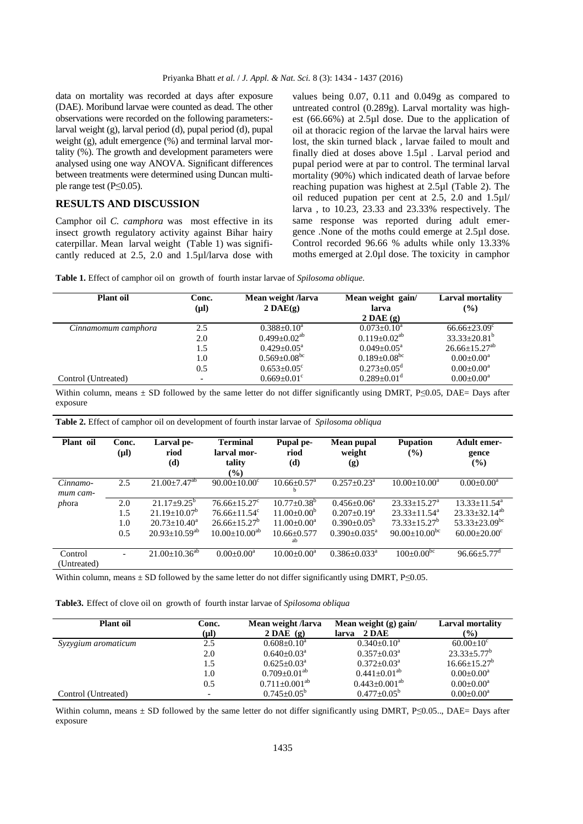data on mortality was recorded at days after exposure (DAE). Moribund larvae were counted as dead. The other observations were recorded on the following parameters: larval weight (g), larval period (d), pupal period (d), pupal weight (g), adult emergence (%) and terminal larval mortality (%). The growth and development parameters were analysed using one way ANOVA. Significant differences between treatments were determined using Duncan multiple range test (P≤0.05).

### **RESULTS AND DISCUSSION**

Camphor oil *C. camphora* was most effective in its insect growth regulatory activity against Bihar hairy caterpillar. Mean larval weight (Table 1) was significantly reduced at 2.5, 2.0 and 1.5µl/larva dose with values being 0.07, 0.11 and 0.049g as compared to untreated control (0.289g). Larval mortality was highest (66.66%) at 2.5µl dose. Due to the application of oil at thoracic region of the larvae the larval hairs were lost, the skin turned black , larvae failed to moult and finally died at doses above 1.5µl . Larval period and pupal period were at par to control. The terminal larval mortality (90%) which indicated death of larvae before reaching pupation was highest at 2.5µl (Table 2). The oil reduced pupation per cent at 2.5, 2.0 and 1.5µl/ larva , to 10.23, 23.33 and 23.33% respectively. The same response was reported during adult emergence .None of the moths could emerge at 2.5µl dose. Control recorded 96.66 % adults while only 13.33% moths emerged at 2.0µl dose. The toxicity in camphor

| <b>Plant</b> oil    | Conc.<br>$(\mu l)$ | Mean weight /larva<br>$2\,\mathrm{DAE}(\mathbf{g})$ | Mean weight gain/<br>larva<br>$2\,\mathrm{DAE}\left(\mathbf{g}\right)$ | Larval mortality<br>(%)       |
|---------------------|--------------------|-----------------------------------------------------|------------------------------------------------------------------------|-------------------------------|
| Cinnamomum camphora | 2.5                | $0.388 \pm 0.10^a$                                  | $0.073 \pm 0.10^a$                                                     | $66.66 \pm 23.09$ °           |
|                     | 2.0                | $0.499 + 0.02^{ab}$                                 | $0.119 + 0.02^{ab}$                                                    | $33.33+20.81^{b}$             |
|                     | 1.5                | $0.429 \pm 0.05^{\text{a}}$                         | $0.049 + 0.05^a$                                                       | $26.66 + 15.27$ <sup>ab</sup> |
|                     | 1.0                | $0.569 \pm 0.08$ <sup>bc</sup>                      | $0.189 \pm 0.08$ <sup>bc</sup>                                         | $0.00+0.00^a$                 |
|                     | 0.5                | $0.653 \pm 0.05$ <sup>c</sup>                       | $0.273 \pm 0.05$ <sup>d</sup>                                          | $0.00+0.00^a$                 |
| Control (Untreated) |                    | $0.669 \pm 0.01$ <sup>c</sup>                       | $0.289 + 0.01$ <sup>d</sup>                                            | $0.00 \pm 0.00^a$             |

Within column, means  $\pm$  SD followed by the same letter do not differ significantly using DMRT, P<0.05, DAE= Days after exposure

| Plant oil            | Conc.<br>$(\mu l)$ | Larval pe-<br>riod<br>(d) | <b>Terminal</b><br>larval mor-<br>tality<br>$(\%)$ | Pupal pe-<br>riod<br>(d)           | Mean pupal<br>weight<br>(g)    | <b>Pupation</b><br>(%)  | <b>Adult emer-</b><br>gence<br>$(\%)$ |
|----------------------|--------------------|---------------------------|----------------------------------------------------|------------------------------------|--------------------------------|-------------------------|---------------------------------------|
| Cinnamo-<br>mum cam- | 2.5                | $21.00 \pm 7.47^{ab}$     | $90.00 \pm 10.00^{\circ}$                          | $10.66 \pm 0.57$ <sup>a</sup><br>b | $0.257+0.23^a$                 | $10.00+10.00^a$         | $0.00 \pm 0.00^a$                     |
| phora                | 2.0                | $21.17 + 9.25^b$          | $76.66 + 15.27$ <sup>c</sup>                       | $10.77 + 0.38^b$                   | $0.456 + 0.06^a$               | $23.33 + 15.27^a$       | $13.33 + 11.54^a$                     |
|                      | 1.5                | $21.19 + 10.07^b$         | $76.66 + 11.54$ <sup>c</sup>                       | $11.00+0.00^b$                     | $0.207+0.19^a$                 | $23.33+11.54^a$         | $23.33 + 32.14^{ab}$                  |
|                      | 1.0                | $20.73 + 10.40^a$         | $26.66 + 15.27$ <sup>b</sup>                       | $11.00+0.00^a$                     | $0.390 + 0.05^b$               | $73.33 + 15.27^b$       | $53.33+23.09^{bc}$                    |
|                      | 0.5                | $20.93 + 10.59^{ab}$      | $10.00 \pm 10.00^{ab}$                             | $10.66 + 0.577$<br>ab              | $0.390 + 0.035^{\text{a}}$     | $90.00+10.00^{bc}$      | $60.00 \pm 20.00^{\circ}$             |
| Control              | $\overline{a}$     | $21.00 \pm 10.36^{ab}$    | $0.00+0.00^a$                                      | $10.00+0.00^a$                     | $0.386 \pm 0.033$ <sup>a</sup> | $100 \pm 0.00^{\rm bc}$ | $96.66 \pm 5.77$ <sup>d</sup>         |
| (Untreated)          |                    |                           |                                                    |                                    |                                |                         |                                       |

**Table 2.** Effect of camphor oil on development of fourth instar larvae of *Spilosoma obliqua*

Within column, means  $\pm$  SD followed by the same letter do not differ significantly using DMRT, P≤0.05.

**Table3.** Effect of clove oil on growth of fourth instar larvae of *Spilosoma obliqua*

| <b>Plant oil</b>    | Conc.     | Mean weight <i>Aarva</i> | Mean weight $(g)$ gain/     | Larval mortality         |
|---------------------|-----------|--------------------------|-----------------------------|--------------------------|
|                     | $(\mu l)$ | $2\,\mathrm{DAE}$ (g)    | larva 2 DAE                 | $($ %)                   |
| Syzygium aromaticum | 2.5       | $0.608 + 0.10^a$         | $0.340 + 0.10^a$            | $60.00+10^{c}$           |
|                     | 2.0       | $0.640 + 0.03^{\circ}$   | $0.357 \pm 0.03^{\text{a}}$ | $23.33 \pm 5.77^{\rm b}$ |
|                     | 1.5       | $0.625 + 0.03^a$         | $0.372 + 0.03^a$            | $16.66 + 15.27^b$        |
|                     | 1.0       | $0.709 + 0.01^{ab}$      | $0.441 \pm 0.01^{ab}$       | $0.00 \pm 0.00^a$        |
|                     | 0.5       | $0.711 \pm 0.001^{ab}$   | $0.443 \pm 0.001^{ab}$      | $0.00 \pm 0.00^a$        |
| Control (Untreated) | -         | $0.745 + 0.05^b$         | $0.477+0.05^{\rm b}$        | $0.00 \pm 0.00^a$        |

Within column, means  $\pm$  SD followed by the same letter do not differ significantly using DMRT, P≤0.05.., DAE= Days after exposure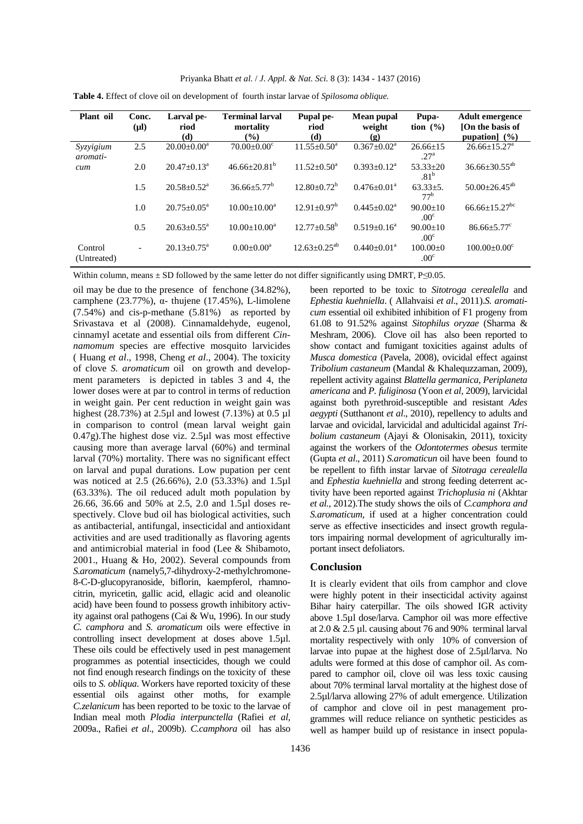| Plant oil              | Conc.<br>$(\mu l)$ | Larval pe-<br>riod<br>(d)     | <b>Terminal larval</b><br>mortality<br>$\left( \frac{9}{0} \right)$ | Pupal pe-<br>riod<br>(d) | Mean pupal<br>weight<br>(g) | Pupa-<br>tion $(\% )$              | <b>Adult emergence</b><br>[On the basis of<br>pupation $(\%)$ |
|------------------------|--------------------|-------------------------------|---------------------------------------------------------------------|--------------------------|-----------------------------|------------------------------------|---------------------------------------------------------------|
| Syzyigium<br>aromati-  | 2.5                | $20.00 \pm 0.00^a$            | $70.00 \pm 0.00$ <sup>c</sup>                                       | $11.55 + 0.50^a$         | $0.367 + 0.02^a$            | $26.66 + 15$<br>.27 <sup>a</sup>   | $26.66 \pm 15.27^{\text{a}}$                                  |
| cum                    | 2.0                | $20.47 + 0.13^a$              | $46.66 + 20.81b$                                                    | $11.52 + 0.50^a$         | $0.393 \pm 0.12^a$          | $53.33 \pm 20$<br>.81 <sup>b</sup> | $36.66 \pm 30.55^{ab}$                                        |
|                        | 1.5                | $20.58 \pm 0.52$ <sup>a</sup> | $36.66 + 5.77^b$                                                    | $12.80 + 0.72^b$         | $0.476 + 0.01a$             | $63.33 \pm 5.$<br>77 <sup>b</sup>  | $50.00 \pm 26.45^{ab}$                                        |
|                        | 1.0                | $20.75 + 0.05^{\text{a}}$     | $10.00+10.00^a$                                                     | $12.91 + 0.97^b$         | $0.445 + 0.02^a$            | $90.00+10$<br>.00 <sup>c</sup>     | $66.66 \pm 15.27$ <sup>bc</sup>                               |
|                        | 0.5                | $20.63 + 0.55^{\circ}$        | $10.00+10.00^a$                                                     | $12.77 + 0.58^b$         | $0.519 + 0.16^a$            | $90.00 \pm 10$<br>.00 <sup>c</sup> | $86.66 \pm 5.77$ <sup>c</sup>                                 |
| Control<br>(Untreated) | $\overline{a}$     | $20.13 \pm 0.75^{\text{a}}$   | $0.00 \pm 0.00^a$                                                   | $12.63 + 0.25^{ab}$      | $0.440 + 0.01^a$            | $100.00+0$<br>.00 <sup>c</sup>     | $100.00 \pm 0.00^{\circ}$                                     |

**Table 4.** Effect of clove oil on development of fourth instar larvae of *Spilosoma oblique.*

Within column, means  $\pm$  SD followed by the same letter do not differ significantly using DMRT, P≤0.05.

oil may be due to the presence of fenchone (34.82%), camphene (23.77%), α- thujene (17.45%), L-limolene (7.54%) and cis-p-methane (5.81%) as reported by Srivastava et al (2008). Cinnamaldehyde, eugenol, cinnamyl acetate and essential oils from different *Cinnamomum* species are effective mosquito larvicides ( Huang *et al*., 1998, Cheng *et al*., 2004). The toxicity of clove *S. aromaticum* oil on growth and development parameters is depicted in tables 3 and 4, the lower doses were at par to control in terms of reduction in weight gain. Per cent reduction in weight gain was highest (28.73%) at 2.5µl and lowest (7.13%) at 0.5 µl in comparison to control (mean larval weight gain 0.47g).The highest dose viz. 2.5µl was most effective causing more than average larval (60%) and terminal larval (70%) mortality. There was no significant effect on larval and pupal durations. Low pupation per cent was noticed at 2.5 (26.66%), 2.0 (53.33%) and 1.5µl (63.33%). The oil reduced adult moth population by 26.66, 36.66 and 50% at 2.5, 2.0 and 1.5µl doses respectively. Clove bud oil has biological activities, such as antibacterial, antifungal, insecticidal and antioxidant activities and are used traditionally as flavoring agents and antimicrobial material in food (Lee & Shibamoto, 2001., Huang & Ho, 2002). Several compounds from *S.aromaticum* (namely5,7-dihydroxy-2-methylchromone-8-C-D-glucopyranoside, biflorin, kaempferol, rhamnocitrin, myricetin, gallic acid, ellagic acid and oleanolic acid) have been found to possess growth inhibitory activity against oral pathogens (Cai & Wu, 1996). In our study *C. camphora* and *S. aromaticum* oils were effective in controlling insect development at doses above 1.5µl. These oils could be effectively used in pest management programmes as potential insecticides, though we could not find enough research findings on the toxicity of these oils to *S. obliqua*. Workers have reported toxicity of these essential oils against other moths, for example *C.zelanicum* has been reported to be toxic to the larvae of Indian meal moth *Plodia interpunctella* (Rafiei *et al,* 2009a., Rafiei *et al*., 2009b). *C.camphora* oil has also been reported to be toxic to *Sitotroga cerealella* and *Ephestia kuehniella*. ( Allahvaisi *et al*., 2011).*S. aromaticum* essential oil exhibited inhibition of F1 progeny from 61.08 to 91.52% against *Sitophilus oryzae* (Sharma & Meshram, 2006). Clove oil has also been reported to show contact and fumigant toxicities against adults of *Musca domestica* (Pavela, 2008), ovicidal effect against *Tribolium castaneum* (Mandal & Khalequzzaman, 2009), repellent activity against *Blattella germanica*, *Periplaneta americana* and *P. fuliginosa* (Yoon *et al*, 2009), larvicidal against both pyrethroid-susceptible and resistant *Ades aegypti* (Sutthanont *et al*., 2010), repellency to adults and larvae and ovicidal, larvicidal and adulticidal against *Tribolium castaneum* (Ajayi & Olonisakin, 2011), toxicity against the workers of the *Odontotermes obesus* termite (Gupta *et al*., 2011) *S.aromaticun* oil have been found to be repellent to fifth instar larvae of *Sitotraga cerealella* and *Ephestia kuehniella* and strong feeding deterrent activity have been reported against *Trichoplusia ni* (Akhtar *et al.,* 2012).The study shows the oils of *C.camphora and S.aromaticum,* if used at a higher concentration could serve as effective insecticides and insect growth regulators impairing normal development of agriculturally important insect defoliators.

#### **Conclusion**

It is clearly evident that oils from camphor and clove were highly potent in their insecticidal activity against Bihar hairy caterpillar. The oils showed IGR activity above 1.5µl dose/larva. Camphor oil was more effective at  $2.0 \& 2.5 \text{ µl.}$  causing about 76 and 90% terminal larval mortality respectively with only 10% of conversion of larvae into pupae at the highest dose of 2.5µl/larva. No adults were formed at this dose of camphor oil. As compared to camphor oil, clove oil was less toxic causing about 70% terminal larval mortality at the highest dose of 2.5µl/larva allowing 27% of adult emergence. Utilization of camphor and clove oil in pest management programmes will reduce reliance on synthetic pesticides as well as hamper build up of resistance in insect popula-